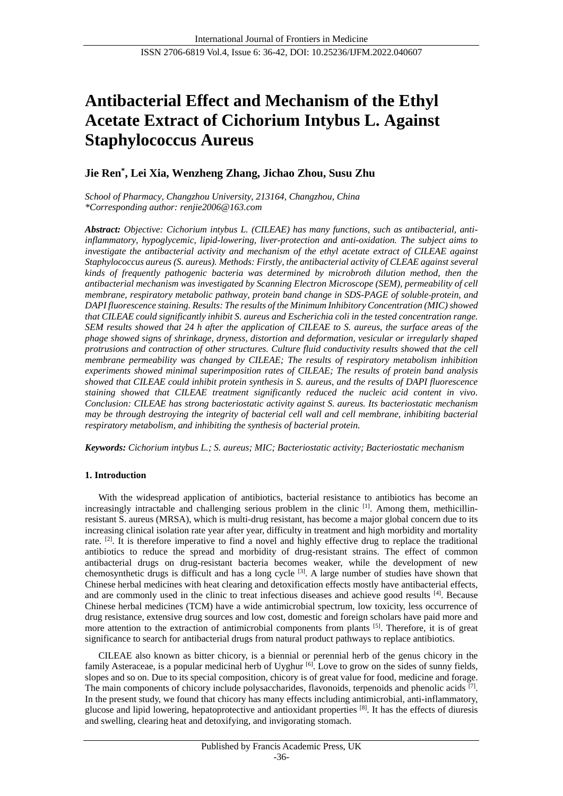# **Antibacterial Effect and Mechanism of the Ethyl Acetate Extract of Cichorium Intybus L. Against Staphylococcus Aureus**

# **Jie Ren\* , Lei Xia, Wenzheng Zhang, Jichao Zhou, Susu Zhu**

*School of Pharmacy, Changzhou University, 213164, Changzhou, China \*Corresponding author: [renjie2006@163.com](mailto:renjie2006@163.com)*

*Abstract: Objective: Cichorium intybus L. (CILEAE) has many functions, such as antibacterial, antiinflammatory, hypoglycemic, lipid-lowering, liver-protection and anti-oxidation. The subject aims to investigate the antibacterial activity and mechanism of the ethyl acetate extract of CILEAE against Staphylococcus aureus (S. aureus). Methods: Firstly, the antibacterial activity of CLEAE against several kinds of frequently pathogenic bacteria was determined by microbroth dilution method, then the antibacterial mechanism was investigated by Scanning Electron Microscope (SEM), permeability of cell membrane, respiratory metabolic pathway, protein band change in SDS-PAGE of soluble protein, and DAPI fluorescence staining. Results: The results of the Minimum Inhibitory Concentration (MIC) showed that CILEAE could significantly inhibit S. aureus and Escherichia coli in the tested concentration range. SEM results showed that 24 h after the application of CILEAE to S. aureus, the surface areas of the phage showed signs of shrinkage, dryness, distortion and deformation, vesicular or irregularly shaped protrusions and contraction of other structures. Culture fluid conductivity results showed that the cell membrane permeability was changed by CILEAE; The results of respiratory metabolism inhibition experiments showed minimal superimposition rates of CILEAE; The results of protein band analysis showed that CILEAE could inhibit protein synthesis in S. aureus, and the results of DAPI fluorescence staining showed that CILEAE treatment significantly reduced the nucleic acid content in vivo. Conclusion: CILEAE has strong bacteriostatic activity against S. aureus. Its bacteriostatic mechanism may be through destroying the integrity of bacterial cell wall and cell membrane, inhibiting bacterial respiratory metabolism, and inhibiting the synthesis of bacterial protein.*

*Keywords: Cichorium intybus L.; S. aureus; MIC; Bacteriostatic activity; Bacteriostatic mechanism*

# **1. Introduction**

With the widespread application of antibiotics, bacterial resistance to antibiotics has become an increasingly intractable and challenging serious problem in the clinic [1]. Among them, methicillinresistant S. aureus (MRSA), which is multi-drug resistant, has become a major global concern due to its increasing clinical isolation rate year after year, difficulty in treatment and high morbidity and mortality rate.  $[2]$ . It is therefore imperative to find a novel and highly effective drug to replace the traditional antibiotics to reduce the spread and morbidity of drug-resistant strains. The effect of common antibacterial drugs on drug-resistant bacteria becomes weaker, while the development of new chemosynthetic drugs is difficult and has a long cycle [3]. A large number of studies have shown that Chinese herbal medicines with heat clearing and detoxification effects mostly have antibacterial effects, and are commonly used in the clinic to treat infectious diseases and achieve good results [4]. Because Chinese herbal medicines (TCM) have a wide antimicrobial spectrum, low toxicity, less occurrence of drug resistance, extensive drug sources and low cost, domestic and foreign scholars have paid more and more attention to the extraction of antimicrobial components from plants <sup>[5]</sup>. Therefore, it is of great significance to search for antibacterial drugs from natural product pathways to replace antibiotics.

CILEAE also known as bitter chicory, is a biennial or perennial herb of the genus chicory in the family Asteraceae, is a popular medicinal herb of Uyghur<sup>[6]</sup>. Love to grow on the sides of sunny fields, slopes and so on. Due to its special composition, chicory is of great value for food, medicine and forage. The main components of chicory include polysaccharides, flavonoids, terpenoids and phenolic acids  $[7]$ . In the present study, we found that chicory has many effects including antimicrobial, anti-inflammatory, glucose and lipid lowering, hepatoprotective and antioxidant properties [8]. It has the effects of diuresis and swelling, clearing heat and detoxifying, and invigorating stomach.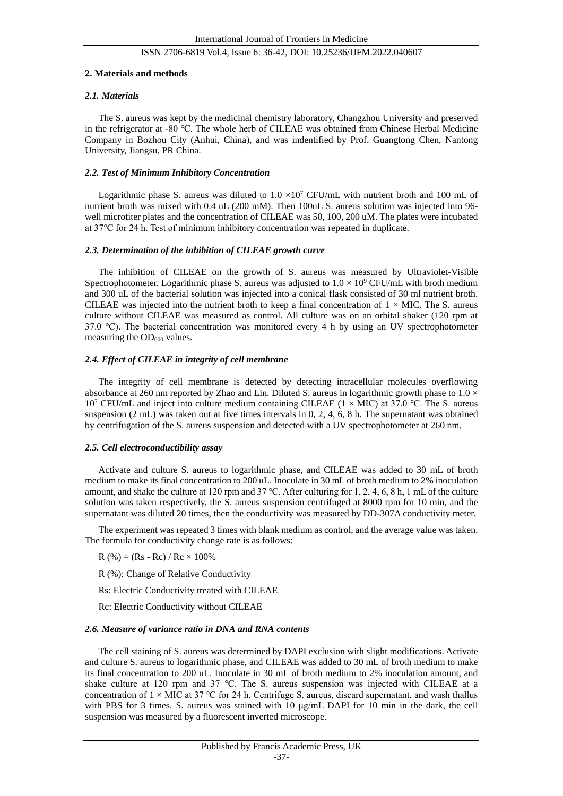#### **2. Materials and methods**

#### *2.1. Materials*

The S. aureus was kept by the medicinal chemistry laboratory, Changzhou University and preserved in the refrigerator at -80 ℃. The whole herb of CILEAE was obtained from Chinese Herbal Medicine Company in Bozhou City (Anhui, China), and was indentified by Prof. Guangtong Chen, Nantong University, Jiangsu, PR China.

#### *2.2. Test of Minimum Inhibitory Concentration*

Logarithmic phase S. aureus was diluted to  $1.0 \times 10^7$  CFU/mL with nutrient broth and 100 mL of nutrient broth was mixed with 0.4 uL (200 mM). Then 100uL S. aureus solution was injected into 96 well microtiter plates and the concentration of CILEAE was 50, 100, 200 uM. The plates were incubated at 37℃ for 24 h. Test of minimum inhibitory concentration was repeated in duplicate.

#### *2.3. Determination of the inhibition of CILEAE growth curve*

The inhibition of CILEAE on the growth of S. aureus was measured by Ultraviolet-Visible Spectrophotometer. Logarithmic phase S. aureus was adjusted to  $1.0 \times 10^9$  CFU/mL with broth medium and 300 uL of the bacterial solution was injected into a conical flask consisted of 30 ml nutrient broth. CILEAE was injected into the nutrient broth to keep a final concentration of  $1 \times$ MIC. The S. aureus culture without CILEAE was measured as control. All culture was on an orbital shaker (120 rpm at 37.0 °C). The bacterial concentration was monitored every 4 h by using an UV spectrophotometer measuring the  $OD<sub>600</sub>$  values.

#### *2.4. Effect of CILEAE in integrity of cell membrane*

The integrity of cell membrane is detected by detecting intracellular molecules overflowing absorbance at 260 nm reported by Zhao and Lin. Diluted S. aureus in logarithmic growth phase to  $1.0 \times$ 10<sup>7</sup> CFU/mL and inject into culture medium containing CILEAE (1 × MIC) at 37.0 °C. The S. aureus suspension (2 mL) was taken out at five times intervals in 0, 2, 4, 6, 8 h. The supernatant was obtained by centrifugation of the S. aureus suspension and detected with a UV spectrophotometer at 260 nm.

#### *2.5. Cell electroconductibility assay*

Activate and culture S. aureus to logarithmic phase, and CILEAE was added to 30 mL of broth medium to make its final concentration to 200 uL. Inoculate in 30 mL of broth medium to 2% inoculation amount, and shake the culture at 120 rpm and 37 ℃. After culturing for 1, 2, 4, 6, 8 h, 1 mL of the culture solution was taken respectively, the S. aureus suspension centrifuged at 8000 rpm for 10 min, and the supernatant was diluted 20 times, then the conductivity was measured by DD-307A conductivity meter.

The experiment was repeated 3 times with blank medium as control, and the average value was taken. The formula for conductivity change rate is as follows:

 $R$  (%) = (Rs - Rc) / Rc  $\times$  100%

R (%): Change of Relative Conductivity

Rs: Electric Conductivity treated with CILEAE

Rc: Electric Conductivity without CILEAE

#### *2.6. Measure of variance ratio in DNA and RNA contents*

The cell staining of S. aureus was determined by DAPI exclusion with slight modifications. Activate and culture S. aureus to logarithmic phase, and CILEAE was added to 30 mL of broth medium to make its final concentration to 200 uL. Inoculate in 30 mL of broth medium to 2% inoculation amount, and shake culture at 120 rpm and 37 ℃. The S. aureus suspension was injected with CILEAE at a concentration of  $1 \times$ MIC at 37 °C for 24 h. Centrifuge S. aureus, discard supernatant, and wash thallus with PBS for 3 times. S. aureus was stained with 10 μg/mL DAPI for 10 min in the dark, the cell suspension was measured by a fluorescent inverted microscope.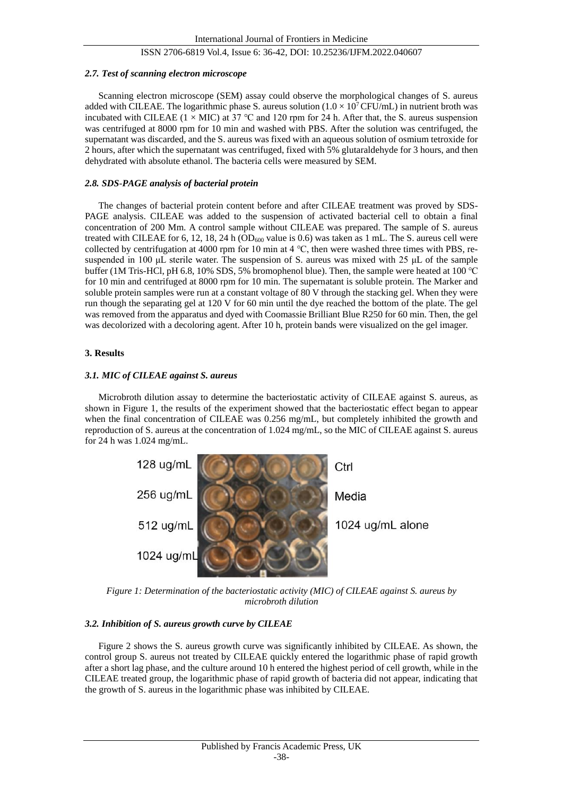#### *2.7. Test of scanning electron microscope*

Scanning electron microscope (SEM) assay could observe the morphological changes of S. aureus added with CILEAE. The logarithmic phase S. aureus solution  $(1.0 \times 10^7$  CFU/mL) in nutrient broth was incubated with CILEAE (1 × MIC) at 37 ℃ and 120 rpm for 24 h. After that, the S. aureus suspension was centrifuged at 8000 rpm for 10 min and washed with PBS. After the solution was centrifuged, the supernatant was discarded, and the S. aureus was fixed with an aqueous solution of osmium tetroxide for 2 hours, after which the supernatant was centrifuged, fixed with 5% glutaraldehyde for 3 hours, and then dehydrated with absolute ethanol. The bacteria cells were measured by SEM.

#### *2.8. SDS*-*PAGE analysis of bacterial protein*

The changes of bacterial protein content before and after CILEAE treatment was proved by SDS-PAGE analysis. CILEAE was added to the suspension of activated bacterial cell to obtain a final concentration of 200 Mm. A control sample without CILEAE was prepared. The sample of S. aureus treated with CILEAE for 6, 12, 18, 24 h ( $OD<sub>600</sub>$  value is 0.6) was taken as 1 mL. The S. aureus cell were collected by centrifugation at 4000 rpm for 10 min at 4 °C, then were washed three times with PBS, resuspended in 100 μL sterile water. The suspension of S. aureus was mixed with 25 μL of the sample buffer (1M Tris-HCl, pH 6.8, 10% SDS, 5% bromophenol blue). Then, the sample were heated at 100 ℃ for 10 min and centrifuged at 8000 rpm for 10 min. The supernatant is soluble protein. The Marker and soluble protein samples were run at a constant voltage of 80 V through the stacking gel. When they were run though the separating gel at 120 V for 60 min until the dye reached the bottom of the plate. The gel was removed from the apparatus and dyed with Coomassie Brilliant Blue R250 for 60 min. Then, the gel was decolorized with a decoloring agent. After 10 h, protein bands were visualized on the gel imager.

#### **3. Results**

#### *3.1. MIC of CILEAE against S. aureus*

Microbroth dilution assay to determine the bacteriostatic activity of CILEAE against S. aureus, as shown in Figure 1, the results of the experiment showed that the bacteriostatic effect began to appear when the final concentration of CILEAE was 0.256 mg/mL, but completely inhibited the growth and reproduction of S. aureus at the concentration of 1.024 mg/mL, so the MIC of CILEAE against S. aureus for 24 h was 1.024 mg/mL.



*Figure 1: Determination of the bacteriostatic activity (MIC) of CILEAE against S. aureus by microbroth dilution*

#### *3.2. Inhibition of S. aureus growth curve by CILEAE*

Figure 2 shows the S. aureus growth curve was significantly inhibited by CILEAE. As shown, the control group S. aureus not treated by CILEAE quickly entered the logarithmic phase of rapid growth after a short lag phase, and the culture around 10 h entered the highest period of cell growth, while in the CILEAE treated group, the logarithmic phase of rapid growth of bacteria did not appear, indicating that the growth of S. aureus in the logarithmic phase was inhibited by CILEAE.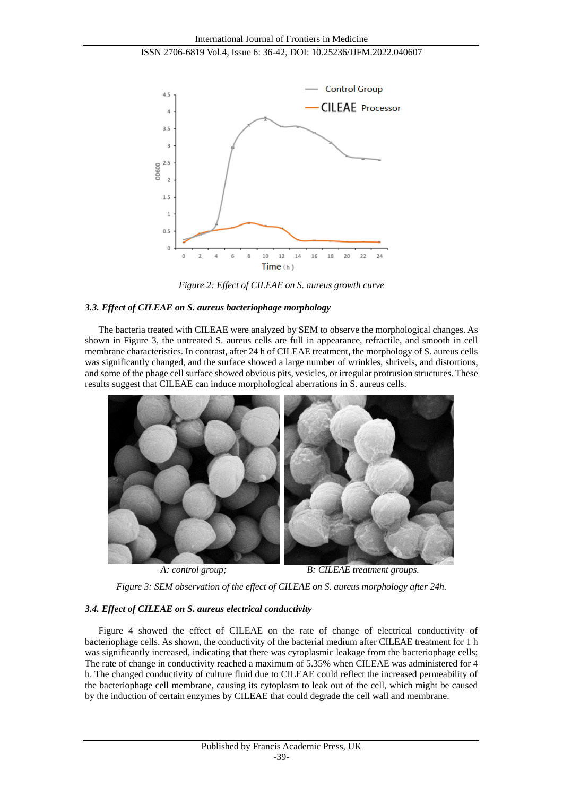

*Figure 2: Effect of CILEAE on S. aureus growth curve*

#### *3.3. Effect of CILEAE on S. aureus bacteriophage morphology*

The bacteria treated with CILEAE were analyzed by SEM to observe the morphological changes. As shown in Figure 3, the untreated S. aureus cells are full in appearance, refractile, and smooth in cell membrane characteristics. In contrast, after 24 h of CILEAE treatment, the morphology of S. aureus cells was significantly changed, and the surface showed a large number of wrinkles, shrivels, and distortions, and some of the phage cell surface showed obvious pits, vesicles, or irregular protrusion structures. These results suggest that CILEAE can induce morphological aberrations in S. aureus cells.



*A: control group; B: CILEAE treatment groups.*

*Figure 3: SEM observation of the effect of CILEAE on S. aureus morphology after 24h.*

# *3.4. Effect of CILEAE on S. aureus electrical conductivity*

Figure 4 showed the effect of CILEAE on the rate of change of electrical conductivity of bacteriophage cells. As shown, the conductivity of the bacterial medium after CILEAE treatment for 1 h was significantly increased, indicating that there was cytoplasmic leakage from the bacteriophage cells; The rate of change in conductivity reached a maximum of 5.35% when CILEAE was administered for 4 h. The changed conductivity of culture fluid due to CILEAE could reflect the increased permeability of the bacteriophage cell membrane, causing its cytoplasm to leak out of the cell, which might be caused by the induction of certain enzymes by CILEAE that could degrade the cell wall and membrane.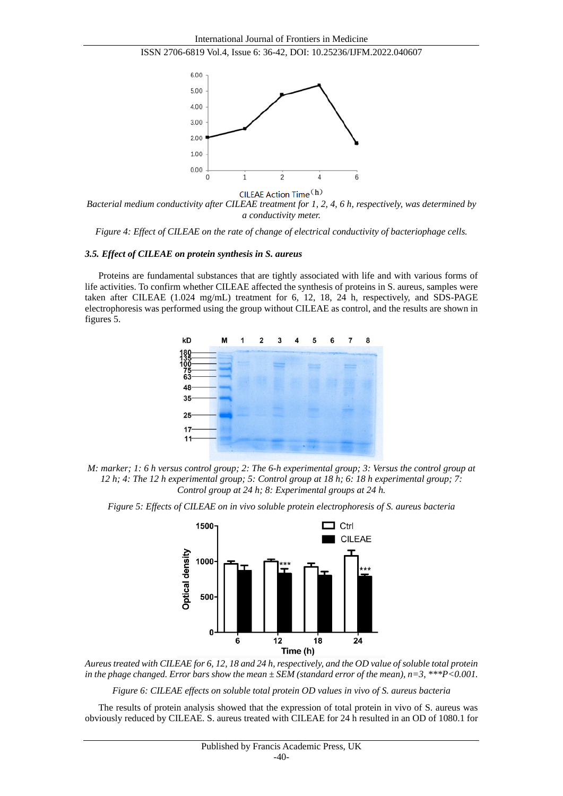![](_page_4_Figure_1.jpeg)

![](_page_4_Figure_2.jpeg)

*Bacterial medium conductivity after CILEAE treatment for 1, 2, 4, 6 h, respectively, was determined by a conductivity meter.*

*Figure 4: Effect of CILEAE on the rate of change of electrical conductivity of bacteriophage cells.*

#### *3.5. Effect of CILEAE on protein synthesis in S. aureus*

Proteins are fundamental substances that are tightly associated with life and with various forms of life activities. To confirm whether CILEAE affected the synthesis of proteins in S. aureus, samples were taken after CILEAE (1.024 mg/mL) treatment for 6, 12, 18, 24 h, respectively, and SDS-PAGE electrophoresis was performed using the group without CILEAE as control, and the results are shown in figures 5.

![](_page_4_Figure_7.jpeg)

*M: marker; 1: 6 h versus control group; 2: The 6-h experimental group; 3: Versus the control group at 12 h; 4: The 12 h experimental group; 5: Control group at 18 h; 6: 18 h experimental group; 7: Control group at 24 h; 8: Experimental groups at 24 h.*

*Figure 5: Effects of CILEAE on in vivo soluble protein electrophoresis of S. aureus bacteria*

![](_page_4_Figure_10.jpeg)

*Aureus treated with CILEAE for 6, 12, 18 and 24 h, respectively, and the OD value of soluble total protein in the phage changed. Error bars show the mean ± SEM (standard error of the mean), n=3, \*\*\*P<0.001.*

*Figure 6: CILEAE effects on soluble total protein OD values in vivo of S. aureus bacteria*

The results of protein analysis showed that the expression of total protein in vivo of S. aureus was obviously reduced by CILEAE. S. aureus treated with CILEAE for 24 h resulted in an OD of 1080.1 for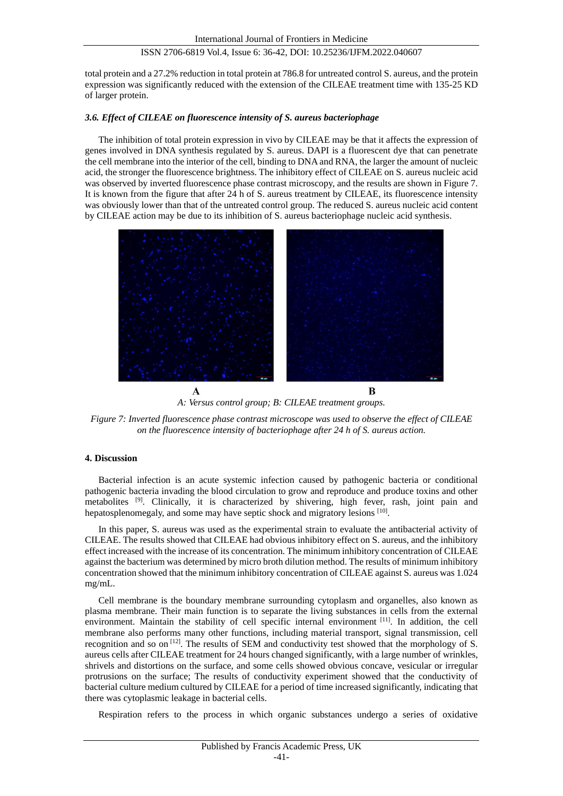total protein and a 27.2% reduction in total protein at 786.8 for untreated control S. aureus, and the protein expression was significantly reduced with the extension of the CILEAE treatment time with 135-25 KD of larger protein.

#### *3.6. Effect of CILEAE on fluorescence intensity of S. aureus bacteriophage*

The inhibition of total protein expression in vivo by CILEAE may be that it affects the expression of genes involved in DNA synthesis regulated by S. aureus. DAPI is a fluorescent dye that can penetrate the cell membrane into the interior of the cell, binding to DNA and RNA, the larger the amount of nucleic acid, the stronger the fluorescence brightness. The inhibitory effect of CILEAE on S. aureus nucleic acid was observed by inverted fluorescence phase contrast microscopy, and the results are shown in Figure 7. It is known from the figure that after 24 h of S. aureus treatment by CILEAE, its fluorescence intensity was obviously lower than that of the untreated control group. The reduced S. aureus nucleic acid content by CILEAE action may be due to its inhibition of S. aureus bacteriophage nucleic acid synthesis.

![](_page_5_Picture_5.jpeg)

*A: Versus control group; B: CILEAE treatment groups.*

*Figure 7: Inverted fluorescence phase contrast microscope was used to observe the effect of CILEAE on the fluorescence intensity of bacteriophage after 24 h of S. aureus action.*

#### **4. Discussion**

Bacterial infection is an acute systemic infection caused by pathogenic bacteria or conditional pathogenic bacteria invading the blood circulation to grow and reproduce and produce toxins and other metabolites [9]. Clinically, it is characterized by shivering, high fever, rash, joint pain and hepatosplenomegaly, and some may have septic shock and migratory lesions [10].

In this paper, S. aureus was used as the experimental strain to evaluate the antibacterial activity of CILEAE. The results showed that CILEAE had obvious inhibitory effect on S. aureus, and the inhibitory effect increased with the increase of its concentration. The minimum inhibitory concentration of CILEAE against the bacterium was determined by micro broth dilution method. The results of minimum inhibitory concentration showed that the minimum inhibitory concentration of CILEAE against S. aureus was 1.024 mg/mL.

Cell membrane is the boundary membrane surrounding cytoplasm and organelles, also known as plasma membrane. Their main function is to separate the living substances in cells from the external environment. Maintain the stability of cell specific internal environment [11]. In addition, the cell membrane also performs many other functions, including material transport, signal transmission, cell recognition and so on [12]. The results of SEM and conductivity test showed that the morphology of S. aureus cells after CILEAE treatment for 24 hours changed significantly, with a large number of wrinkles, shrivels and distortions on the surface, and some cells showed obvious concave, vesicular or irregular protrusions on the surface; The results of conductivity experiment showed that the conductivity of bacterial culture medium cultured by CILEAE for a period of time increased significantly, indicating that there was cytoplasmic leakage in bacterial cells.

Respiration refers to the process in which organic substances undergo a series of oxidative